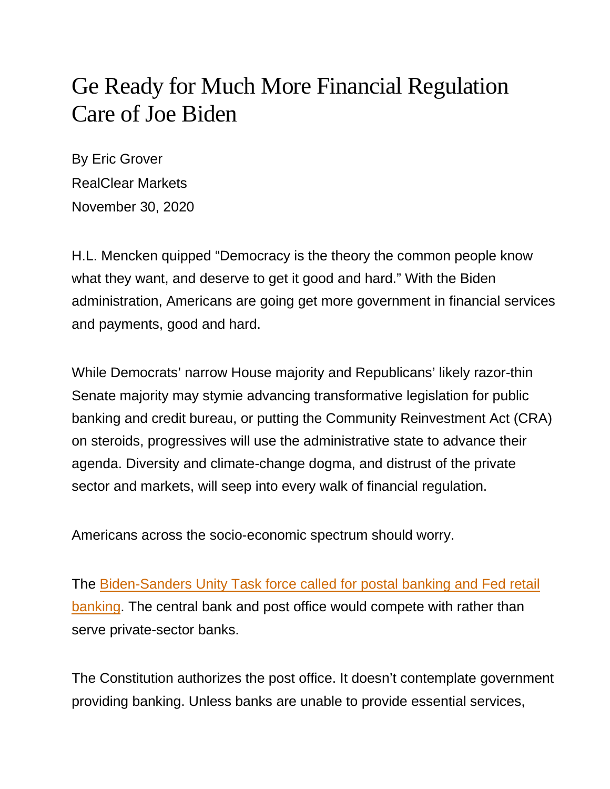## Ge Ready for Much More Financial Regulation Care of Joe Biden

By Eric Grover RealClear Markets November 30, 2020

H.L. Mencken quipped "Democracy is the theory the common people know what they want, and deserve to get it good and hard." With the Biden administration, Americans are going get more government in financial services and payments, good and hard.

While Democrats' narrow House majority and Republicans' likely razor-thin Senate majority may stymie advancing transformative legislation for public banking and credit bureau, or putting the Community Reinvestment Act (CRA) on steroids, progressives will use the administrative state to advance their agenda. Diversity and climate-change dogma, and distrust of the private sector and markets, will seep into every walk of financial regulation.

Americans across the socio-economic spectrum should worry.

The [Biden-Sanders Unity Task force called for postal banking and Fed retail](https://joebiden.com/wp-content/uploads/2020/08/UNITY-TASK-FORCE-RECOMMENDATIONS.pdf)  [banking.](https://joebiden.com/wp-content/uploads/2020/08/UNITY-TASK-FORCE-RECOMMENDATIONS.pdf) The central bank and post office would compete with rather than serve private-sector banks.

The Constitution authorizes the post office. It doesn't contemplate government providing banking. Unless banks are unable to provide essential services,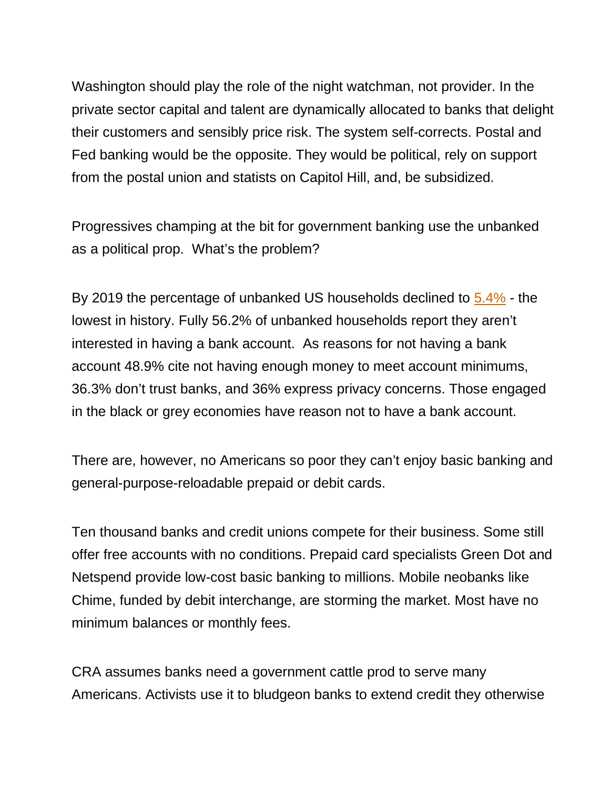Washington should play the role of the night watchman, not provider. In the private sector capital and talent are dynamically allocated to banks that delight their customers and sensibly price risk. The system self-corrects. Postal and Fed banking would be the opposite. They would be political, rely on support from the postal union and statists on Capitol Hill, and, be subsidized.

Progressives champing at the bit for government banking use the unbanked as a political prop. What's the problem?

By 2019 the percentage of unbanked US households declined to [5.4%](https://www.fdic.gov/analysis/household-survey/2019report.pdf) - the lowest in history. Fully 56.2% of unbanked households report they aren't interested in having a bank account. As reasons for not having a bank account 48.9% cite not having enough money to meet account minimums, 36.3% don't trust banks, and 36% express privacy concerns. Those engaged in the black or grey economies have reason not to have a bank account.

There are, however, no Americans so poor they can't enjoy basic banking and general-purpose-reloadable prepaid or debit cards.

Ten thousand banks and credit unions compete for their business. Some still offer free accounts with no conditions. Prepaid card specialists Green Dot and Netspend provide low-cost basic banking to millions. Mobile neobanks like Chime, funded by debit interchange, are storming the market. Most have no minimum balances or monthly fees.

CRA assumes banks need a government cattle prod to serve many Americans. Activists use it to bludgeon banks to extend credit they otherwise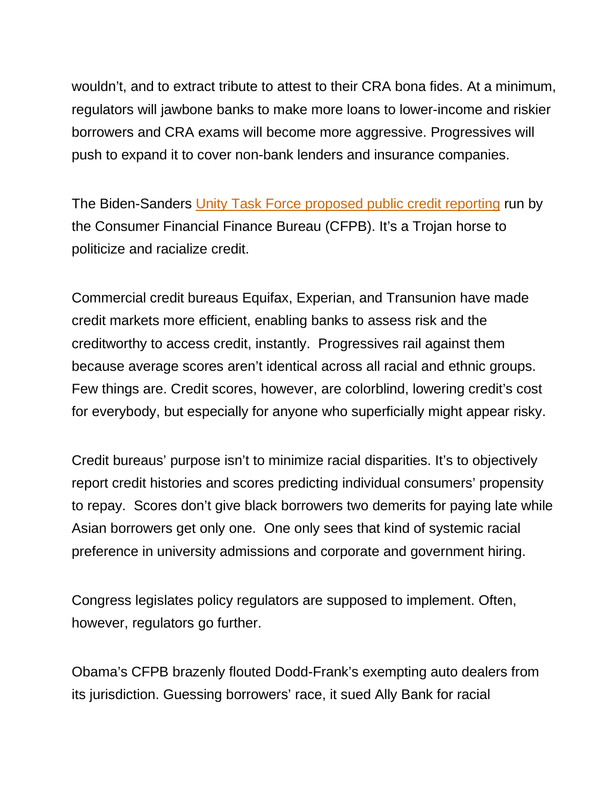wouldn't, and to extract tribute to attest to their CRA bona fides. At a minimum, regulators will jawbone banks to make more loans to lower-income and riskier borrowers and CRA exams will become more aggressive. Progressives will push to expand it to cover non-bank lenders and insurance companies.

The Biden-Sanders [Unity Task Force proposed public credit reporting](https://joebiden.com/wp-content/uploads/2020/08/UNITY-TASK-FORCE-RECOMMENDATIONS.pdf) run by the Consumer Financial Finance Bureau (CFPB). It's a Trojan horse to politicize and racialize credit.

Commercial credit bureaus Equifax, Experian, and Transunion have made credit markets more efficient, enabling banks to assess risk and the creditworthy to access credit, instantly. Progressives rail against them because average scores aren't identical across all racial and ethnic groups. Few things are. Credit scores, however, are colorblind, lowering credit's cost for everybody, but especially for anyone who superficially might appear risky.

Credit bureaus' purpose isn't to minimize racial disparities. It's to objectively report credit histories and scores predicting individual consumers' propensity to repay. Scores don't give black borrowers two demerits for paying late while Asian borrowers get only one. One only sees that kind of systemic racial preference in university admissions and corporate and government hiring.

Congress legislates policy regulators are supposed to implement. Often, however, regulators go further.

Obama's CFPB brazenly flouted Dodd-Frank's exempting auto dealers from its jurisdiction. Guessing borrowers' race, it sued Ally Bank for racial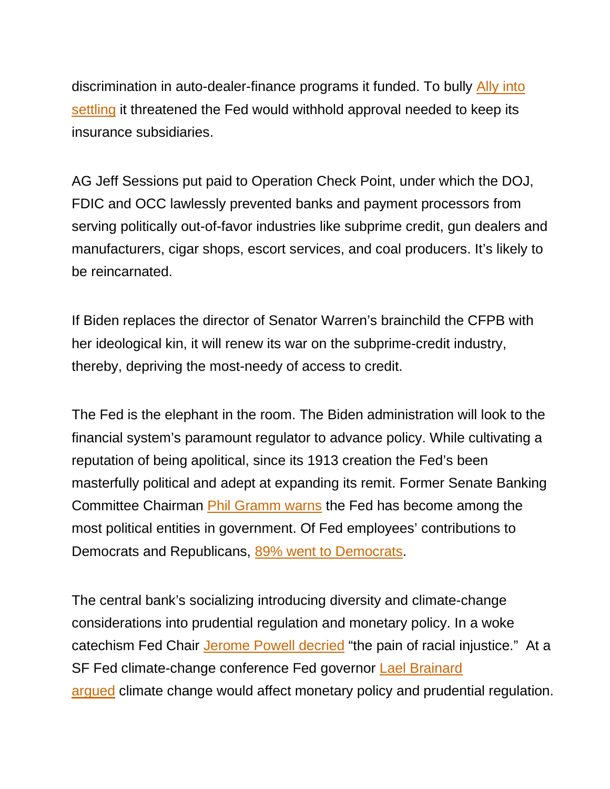discrimination in auto-dealer-finance programs it funded. To bully [Ally into](https://nypost.com/2016/02/07/obama-bullied-bank-to-pay-racial-settlement-without-proof-report/)  [settling](https://nypost.com/2016/02/07/obama-bullied-bank-to-pay-racial-settlement-without-proof-report/) it threatened the Fed would withhold approval needed to keep its insurance subsidiaries.

AG Jeff Sessions put paid to Operation Check Point, under which the DOJ, FDIC and OCC lawlessly prevented banks and payment processors from serving politically out-of-favor industries like subprime credit, gun dealers and manufacturers, cigar shops, escort services, and coal producers. It's likely to be reincarnated.

If Biden replaces the director of Senator Warren's brainchild the CFPB with her ideological kin, it will renew its war on the subprime-credit industry, thereby, depriving the most-needy of access to credit.

The Fed is the elephant in the room. The Biden administration will look to the financial system's paramount regulator to advance policy. While cultivating a reputation of being apolitical, since its 1913 creation the Fed's been masterfully political and adept at expanding its remit. Former Senate Banking Committee Chairman [Phil Gramm warns](https://www.cato.org/events/38th-annual-monetary-conference) the Fed has become among the most political entities in government. Of Fed employees' contributions to Democrats and Republicans, [89% went to Democrats.](https://nypost.com/2020/11/03/federal-reserve-staffers-boost-political-giving-to-democrats/)

The central bank's socializing introducing diversity and climate-change considerations into prudential regulation and monetary policy. In a woke catechism Fed Chair [Jerome Powell decried](https://www.stlouisfed.org/news-releases/2020/06/12/chair-powells-remarks-on-racial-equality) "the pain of racial injustice." At a SF Fed climate-change conference Fed governor [Lael Brainard](https://www.federalreserve.gov/newsevents/speech/brainard20191108a.htm)  [argued](https://www.federalreserve.gov/newsevents/speech/brainard20191108a.htm) climate change would affect monetary policy and prudential regulation.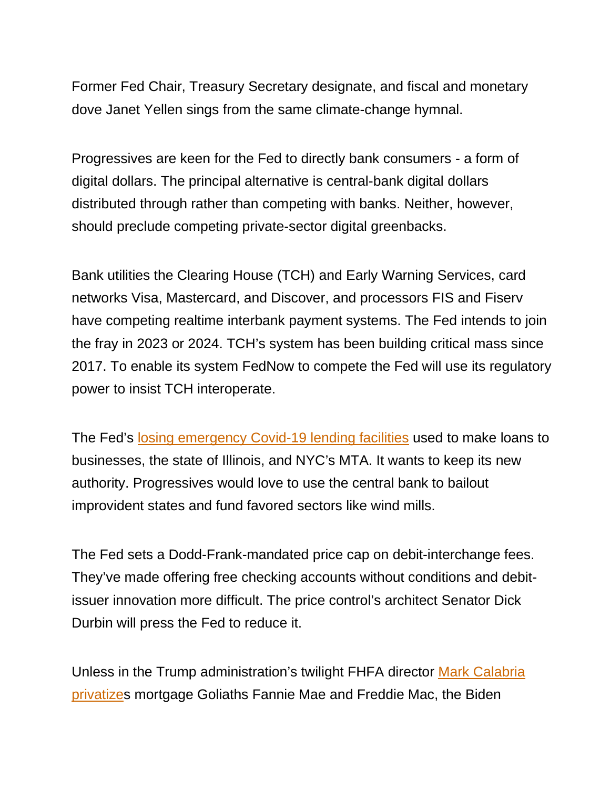Former Fed Chair, Treasury Secretary designate, and fiscal and monetary dove Janet Yellen sings from the same climate-change hymnal.

Progressives are keen for the Fed to directly bank consumers - a form of digital dollars. The principal alternative is central-bank digital dollars distributed through rather than competing with banks. Neither, however, should preclude competing private-sector digital greenbacks.

Bank utilities the Clearing House (TCH) and Early Warning Services, card networks Visa, Mastercard, and Discover, and processors FIS and Fiserv have competing realtime interbank payment systems. The Fed intends to join the fray in 2023 or 2024. TCH's system has been building critical mass since 2017. To enable its system FedNow to compete the Fed will use its regulatory power to insist TCH interoperate.

The Fed's [losing emergency Covid-19 lending facilities](https://www.wsj.com/articles/steve-mnuchins-finest-hour-11605908477?mod=opinion_lead_pos2) used to make loans to businesses, the state of Illinois, and NYC's MTA. It wants to keep its new authority. Progressives would love to use the central bank to bailout improvident states and fund favored sectors like wind mills.

The Fed sets a Dodd-Frank-mandated price cap on debit-interchange fees. They've made offering free checking accounts without conditions and debitissuer innovation more difficult. The price control's architect Senator Dick Durbin will press the Fed to reduce it.

Unless in the Trump administration's twilight FHFA director [Mark Calabria](https://www.wsj.com/articles/fannie-freddie-overseer-seeks-to-end-federal-control-before-trump-leaves-11605873600?mod=hp_lead_pos3)  [privatizes](https://www.wsj.com/articles/fannie-freddie-overseer-seeks-to-end-federal-control-before-trump-leaves-11605873600?mod=hp_lead_pos3) mortgage Goliaths Fannie Mae and Freddie Mac, the Biden